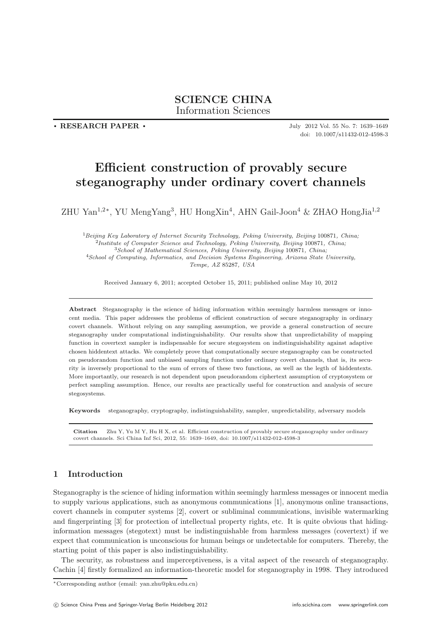**. RESEARCH PAPER .**

July 2012 Vol. 55 No. 7: 1639–1649 doi: 10.1007/s11432-012-4598-3

# **Efficient construction of provably secure steganography under ordinary covert channels**

ZHU Yan1,2<sup>∗</sup>, YU MengYang<sup>3</sup>, HU HongXin<sup>4</sup>, AHN Gail-Joon<sup>4</sup> & ZHAO HongJia1,2

 ${}^{1}Beijing$  Key Laboratory of Internet Security Technology, Peking University, Beijing 100871, China;<br>  ${}^{2}Institute$  of Computer Science and Technology, Peking University, Beijing 100871, China;<br>  ${}^{3}School$  of Mathematical Science *Tempe, AZ* 85287*, USA*

Received January 6, 2011; accepted October 15, 2011; published online May 10, 2012

**Abstract** Steganography is the science of hiding information within seemingly harmless messages or innocent media. This paper addresses the problems of efficient construction of secure steganography in ordinary covert channels. Without relying on any sampling assumption, we provide a general construction of secure steganography under computational indistinguishability. Our results show that unpredictability of mapping function in covertext sampler is indispensable for secure stegosystem on indistinguishability against adaptive chosen hiddentext attacks. We completely prove that computationally secure steganography can be constructed on pseudorandom function and unbiased sampling function under ordinary covert channels, that is, its security is inversely proportional to the sum of errors of these two functions, as well as the legth of hiddentexts. More importantly, our research is not dependent upon pseudorandom ciphertext assumption of cryptosystem or perfect sampling assumption. Hence, our results are practically useful for construction and analysis of secure stegosystems.

**Keywords** steganography, cryptography, indistinguishability, sampler, unpredictability, adversary models

**Citation** Zhu Y, Yu M Y, Hu H X, et al. Efficient construction of provably secure steganography under ordinary covert channels. Sci China Inf Sci, 2012, 55: 1639–1649, doi: 10.1007/s11432-012-4598-3

# **1 Introduction**

Steganography is the science of hiding information within seemingly harmless messages or innocent media to supply various applications, such as anonymous communications [1], anonymous online transactions, covert channels in computer systems [2], covert or subliminal communications, invisible watermarking and fingerprinting [3] for protection of intellectual property rights, etc. It is quite obvious that hidinginformation messages (stegotext) must be indistinguishable from harmless messages (covertext) if we expect that communication is unconscious for human beings or undetectable for computers. Thereby, the starting point of this paper is also indistinguishability.

The security, as robustness and imperceptiveness, is a vital aspect of the research of steganography. Cachin [4] firstly formalized an information-theoretic model for steganography in 1998. They introduced

<sup>∗</sup>Corresponding author (email: yan.zhu@pku.edu.cn)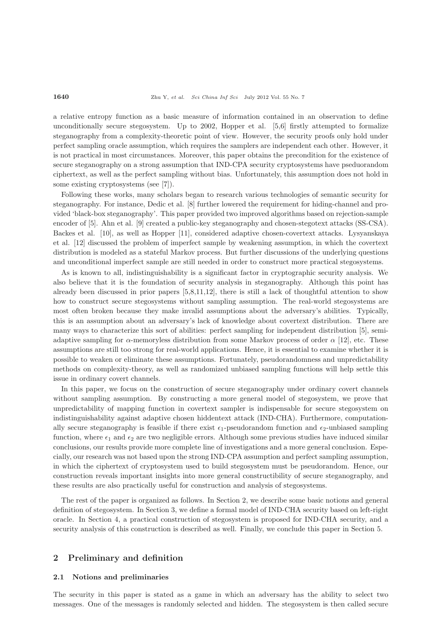a relative entropy function as a basic measure of information contained in an observation to define unconditionally secure stegosystem. Up to 2002, Hopper et al. [5,6] firstly attempted to formalize steganography from a complexity-theoretic point of view. However, the security proofs only hold under perfect sampling oracle assumption, which requires the samplers are independent each other. However, it is not practical in most circumstances. Moreover, this paper obtains the precondition for the existence of secure steganography on a strong assumption that IND-CPA security cryptosystems have pseduorandom ciphertext, as well as the perfect sampling without bias. Unfortunately, this assumption does not hold in some existing cryptosystems (see [7]).

Following these works, many scholars began to research various technologies of semantic security for steganography. For instance, Dedic et al. [8] further lowered the requirement for hiding-channel and provided 'black-box steganography'. This paper provided two improved algorithms based on rejection-sample encoder of [5]. Ahn et al. [9] created a public-key steganography and chosen-stegotext attacks (SS-CSA). Backes et al. [10], as well as Hopper [11], considered adaptive chosen-covertext attacks. Lysyanskaya et al. [12] discussed the problem of imperfect sample by weakening assumption, in which the covertext distribution is modeled as a stateful Markov process. But further discussions of the underlying questions and unconditional imperfect sample are still needed in order to construct more practical stegosystems.

As is known to all, indistinguishability is a significant factor in cryptographic security analysis. We also believe that it is the foundation of security analysis in steganography. Although this point has already been discussed in prior papers [5,8,11,12], there is still a lack of thoughtful attention to show how to construct secure stegosystems without sampling assumption. The real-world stegosystems are most often broken because they make invalid assumptions about the adversary's abilities. Typically, this is an assumption about an adversary's lack of knowledge about covertext distribution. There are many ways to characterize this sort of abilities: perfect sampling for independent distribution [5], semiadaptive sampling for  $\alpha$ -memoryless distribution from some Markov process of order  $\alpha$  [12], etc. These assumptions are still too strong for real-world applications. Hence, it is essential to examine whether it is possible to weaken or eliminate these assumptions. Fortunately, pseudorandomness and unpredictability methods on complexity-theory, as well as randomized unbiased sampling functions will help settle this issue in ordinary covert channels.

In this paper, we focus on the construction of secure steganography under ordinary covert channels without sampling assumption. By constructing a more general model of stegosystem, we prove that unpredictability of mapping function in covertext sampler is indispensable for secure stegosystem on indistinguishability against adaptive chosen hiddentext attack (IND-CHA). Furthermore, computationally secure steganography is feasible if there exist  $\epsilon_1$ -pseudorandom function and  $\epsilon_2$ -unbiased sampling function, where  $\epsilon_1$  and  $\epsilon_2$  are two negligible errors. Although some previous studies have induced similar conclusions, our results provide more complete line of investigations and a more general conclusion. Especially, our research was not based upon the strong IND-CPA assumption and perfect sampling assumption, in which the ciphertext of cryptosystem used to build stegosystem must be pseudorandom. Hence, our construction reveals important insights into more general constructibility of secure steganography, and these results are also practically useful for construction and analysis of stegosystems.

The rest of the paper is organized as follows. In Section 2, we describe some basic notions and general definition of stegosystem. In Section 3, we define a formal model of IND-CHA security based on left-right oracle. In Section 4, a practical construction of stegosystem is proposed for IND-CHA security, and a security analysis of this construction is described as well. Finally, we conclude this paper in Section 5.

# **2 Preliminary and definition**

#### **2.1 Notions and preliminaries**

The security in this paper is stated as a game in which an adversary has the ability to select two messages. One of the messages is randomly selected and hidden. The stegosystem is then called secure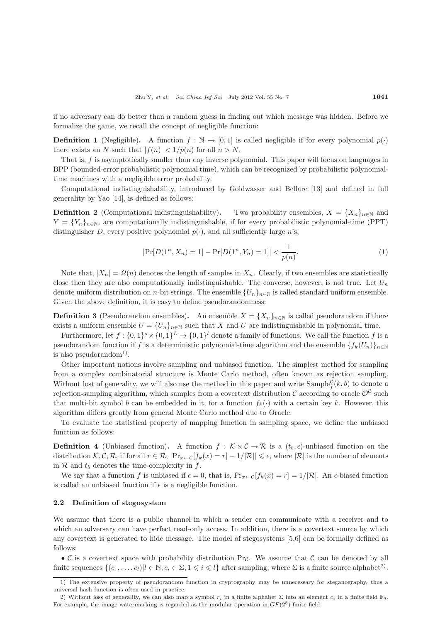if no adversary can do better than a random guess in finding out which message was hidden. Before we formalize the game, we recall the concept of negligible function:

**Definition 1** (Negligible). A function  $f : \mathbb{N} \to [0,1]$  is called negligible if for every polynomial  $p(\cdot)$ there exists an N such that  $|f(n)| < 1/p(n)$  for all  $n > N$ .

That is, f is asymptotically smaller than any inverse polynomial. This paper will focus on languages in BPP (bounded-error probabilistic polynomial time), which can be recognized by probabilistic polynomialtime machines with a negligible error probability.

Computational indistinguishability, introduced by Goldwasser and Bellare [13] and defined in full generality by Yao [14], is defined as follows:

**Definition 2** (Computational indistinguishability). Two probability ensembles,  $X = \{X_n\}_{n\in\mathbb{N}}$  and  $X = \{Y_n\}$  are computationally indictinguishable if for even probabilities polynomial time (DDT)  $Y = \{Y_n\}_{n \in \mathbb{N}}$ , are computationally indistinguishable, if for every probabilistic polynomial-time (PPT) distinguisher  $D$  every polynomial  $x()$  and all sufficiently large  $x'$ . distinguisher D, every positive polynomial  $p(\cdot)$ , and all sufficiently large n's,

$$
|\Pr[D(1^n, X_n) = 1] - \Pr[D(1^n, Y_n) = 1]| < \frac{1}{p(n)}.\tag{1}
$$

Note that,  $|X_n| = \Omega(n)$  denotes the length of samples in  $X_n$ . Clearly, if two ensembles are statistically close then they are also computationally indistinguishable. The converse, however, is not true. Let  $U_n$ denote uniform distribution on *n*-bit strings. The ensemble  $\{U_n\}_{n\in\mathbb{N}}$  is called standard uniform ensemble. Given the above definition, it is easy to define pseudorandomness:

**Definition 3** (Pseudorandom ensembles). An ensemble  $X = \{X_n\}_{n \in \mathbb{N}}$  is called pseudorandom if there exists a uniform ensemble  $U = \{U_n\}_{n \in \mathbb{N}}$  such that X and U are indistinguishable in polynomial time.

Furthermore, let  $f : \{0,1\}^s \times \{0,1\}^L \to \{0,1\}^l$  denote a family of functions. We call the function f is a pseudorandom function if f is a deterministic polynomial-time algorithm and the ensemble  $\{f_k(U_n)\}_{n\in\mathbb{N}}$ is also pseudorandom<sup>1)</sup>.

Other important notions involve sampling and unbiased function. The simplest method for sampling from a complex combinatorial structure is Monte Carlo method, often known as rejection sampling. Without lost of generality, we will also use the method in this paper and write  $\text{Sample}_{f}^{\mathcal{C}}(k, b)$  to denote a projection complies also with a projection complier also with a projection of a projection of a projection rejection-sampling algorithm, which samples from a covertext distribution  $\mathcal C$  according to oracle  $\mathcal O^{\mathcal C}$  such that multi-bit symbol b can be embedded in it, for a function  $f_k(\cdot)$  with a certain key k. However, this algorithm differs greatly from general Monte Carlo method due to Oracle.

To evaluate the statistical property of mapping function in sampling space, we define the unbiased function as follows:

**Definition 4** (Unbiased function). A function  $f : K \times C \to \mathcal{R}$  is a  $(t_b, \epsilon)$ -unbiased function on the distribution  $\mathcal{K}, \mathcal{C}, \mathcal{R}$ , if for all  $r \in \mathcal{R}$ ,  $|\Pr_{x \leftarrow \mathcal{C}}[f_k(x) = r] - 1/|\mathcal{R}|| \leq \epsilon$ , where  $|\mathcal{R}|$  is the number of elements<br>in  $\mathcal{R}$  and to denotes the time complexity in  $f$ . in  $\mathcal R$  and  $t_b$  denotes the time-complexity in  $f$ .

We say that a function f is unbiased if  $\epsilon = 0$ , that is,  $Pr_{x \leftarrow C}[f_k(x) = r] = 1/|\mathcal{R}|$ . An  $\epsilon$ -biased function is called an unbiased function if  $\epsilon$  is a negligible function.

#### **2.2 Definition of stegosystem**

We assume that there is a public channel in which a sender can communicate with a receiver and to which an adversary can have perfect read-only access. In addition, there is a covertext source by which any covertext is generated to hide message. The model of stegosystems [5,6] can be formally defined as follows:

• C is a covertext space with probability distribution  $Pr_{\mathcal{C}}$ . We assume that C can be denoted by all finite sequences  $\{(c_1,\ldots,c_l)|l \in \mathbb{N}, c_i \in \Sigma, 1 \leqslant i \leqslant l\}$  after sampling, where  $\Sigma$  is a finite source alphabet<sup>2)</sup>.

<sup>1)</sup> The extensive property of pseudorandom function in cryptography may be unnecessary for steganography, thus a universal hash function is often used in practice.

<sup>2)</sup> Without loss of generality, we can also map a symbol  $r_i$  in a finite alphabet  $\Sigma$  into an element  $c_i$  in a finite field  $\mathbb{F}_q$ . For example, the image watermarking is regarded as the modular operation in *GF*(28) finite field.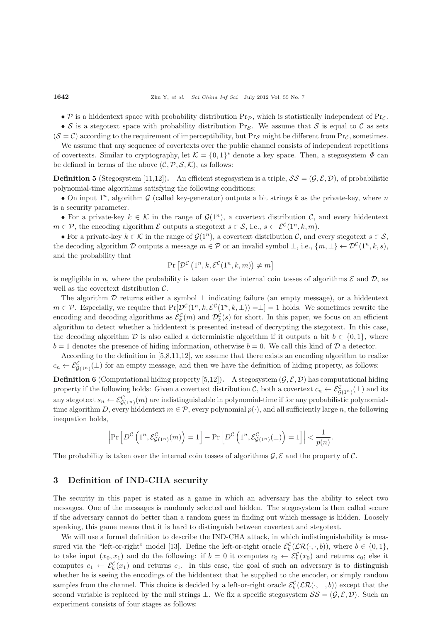• P is a hiddentext space with probability distribution  $Pr_{\mathcal{P}}$ , which is statistically independent of  $Pr_{\mathcal{C}}$ .

• S is a stegotext space with probability distribution Pr<sub>S</sub>. We assume that S is equal to C as sets  $(S = C)$  according to the requirement of imperceptibility, but Pr<sub>S</sub> might be different from Pr<sub>C</sub>, sometimes.

We assume that any sequence of covertexts over the public channel consists of independent repetitions of covertexts. Similar to cryptography, let  $\mathcal{K} = \{0,1\}^*$  denote a key space. Then, a stegosystem  $\Phi$  can be defined in terms of the above  $(C, \mathcal{P}, \mathcal{S}, \mathcal{K})$ , as follows:

**Definition 5** (Stegosystem [11,12]). An efficient stegosystem is a triple,  $SS = (\mathcal{G}, \mathcal{E}, \mathcal{D})$ , of probabilistic polynomial-time algorithms satisfying the following conditions:

• On input  $1^n$ , algorithm G (called key-generator) outputs a bit strings k as the private-key, where n is a security parameter.

• For a private-key  $k \in \mathcal{K}$  in the range of  $\mathcal{G}(1^n)$ , a covertext distribution C, and every hiddentext  $m \in \mathcal{P}$ , the encoding algorithm  $\mathcal E$  outputs a stegotext  $s \in \mathcal S$ , i.e.,  $s \leftarrow \mathcal E^{\mathcal C}(1^n, k, m)$ .

• For a private-key  $k \in \mathcal{K}$  in the range of  $\mathcal{G}(1^n)$ , a covertext distribution  $\mathcal{C}$ , and every stegotext  $s \in \mathcal{S}$ , the decoding algorithm D outputs a message  $m \in \mathcal{P}$  or an invalid symbol  $\bot$ , i.e.,  $\{m, \bot\} \leftarrow \mathcal{D}^{\mathcal{C}}(1^n, k, s)$ , and the probability that

$$
\Pr\left[\mathcal{D}^{\mathcal{C}}\left(1^{n}, k, \mathcal{E}^{\mathcal{C}}(1^{n}, k, m)\right) \neq m\right]
$$

is negligible in n, where the probability is taken over the internal coin tosses of algorithms  $\mathcal E$  and  $\mathcal D$ , as well as the covertext distribution  $\mathcal{C}$ .

The algorithm  $\mathcal D$  returns either a symbol  $\perp$  indicating failure (an empty message), or a hiddentext  $m \in \mathcal{P}$ . Especially, we require that  $Pr[\mathcal{D}^{\mathcal{C}}(1^n, k, \mathcal{E}^{\mathcal{C}}(1^n, k, \perp)) = \perp] = 1$  holds. We sometimes rewrite the encoding and decoding algorithms as  $\mathcal{E}_k^C(m)$  and  $\mathcal{D}_k^C(s)$  for short. In this paper, we focus on an efficient<br>algorithm to detect whether a hiddentert is presented instead of decurring the steactert. In this case algorithm to detect whether a hiddentext is presented instead of decrypting the stegotext. In this case, the decoding algorithm  $\mathcal D$  is also called a deterministic algorithm if it outputs a bit  $b \in \{0, 1\}$ , where  $b = 1$  denotes the presence of hiding information, otherwise  $b = 0$ . We call this kind of  $\mathcal{D}$  a detector.

According to the definition in [5,8,11,12], we assume that there exists an encoding algorithm to realize  $c_n \leftarrow \mathcal{E}^{\mathcal{C}}_{\mathcal{G}(1^n)}(\perp)$  for an empty message, and then we have the definition of hiding property, as follows:

**Definition 6** (Computational hiding property [5,12]). A stegosystem  $(\mathcal{G}, \mathcal{E}, \mathcal{D})$  has computational hiding property if the following holds: Given a covertext distribution  $\mathcal{C}$ , both a covertext  $c_n \leftarrow \mathcal{E}^{\mathcal{C}}_{\mathcal{G}(1^n)}(\bot)$  and its<br>construction of  $\mathcal{C}^{\mathcal{C}}_{\mathcal{G}}(\omega)$  are in littly wish ship is a shape wish time i any stegotext  $s_n \leftarrow \mathcal{E}_{\mathcal{G}(1^n)}^C(m)$  are indistinguishable in polynomial-time if for any probabilistic polynomial-<br>time algorithm D, event hiddenteet  $m \in \mathcal{D}$ , event polynomial  $p(x)$ , and all sufficiently large n, time algorithm D, every hiddentext  $m \in \mathcal{P}$ , every polynomial  $p(\cdot)$ , and all sufficiently large n, the following inequation holds,

$$
\left|\Pr\left[D^{\mathcal{C}}\left(1^n, \mathcal{E}^{\mathcal{C}}_{\mathcal{G}(1^n)}(m)\right) = 1\right] - \Pr\left[D^{\mathcal{C}}\left(1^n, \mathcal{E}^{\mathcal{C}}_{\mathcal{G}(1^n)}(\bot)\right) = 1\right]\right| < \frac{1}{p(n)}.
$$

The probability is taken over the internal coin tosses of algorithms  $\mathcal{G}, \mathcal{E}$  and the property of  $\mathcal{C}$ .

## **3 Definition of IND-CHA security**

The security in this paper is stated as a game in which an adversary has the ability to select two messages. One of the messages is randomly selected and hidden. The stegosystem is then called secure if the adversary cannot do better than a random guess in finding out which message is hidden. Loosely speaking, this game means that it is hard to distinguish between covertext and stegotext.

We will use a formal definition to describe the IND-CHA attack, in which indistinguishability is measured via the "left-or-right" model [13]. Define the left-or-right oracle  $\mathcal{E}_k^{\mathcal{C}}(\mathcal{LR}(\cdot,\cdot,b))$ , where  $b \in \{0,1\}$ , to take input  $(x_0, x_1)$  and do the following: if  $b = 0$  it computes  $c_0 \leftarrow \mathcal{E}_k^C(x_0)$  and returns  $c_0$ ; else it computes  $c_1 \leftarrow \mathcal{E}_k^C(x_1)$  and returns  $c_1$ . In this case, the goal of such an adversary is to distinguish<br>whether he is sooing the engoding of the hiddenteut that he supplied to the engoder or simply under whether he is seeing the encodings of the hiddentext that he supplied to the encoder, or simply random samples from the channel. This choice is decided by a left-or-right oracle  $\mathcal{E}_k^{\mathcal{C}}(\mathcal{LR}(\cdot,\perp,b))$  except that the second variable is replaced by the null strings  $\bot$ . We fix a specific stegosystem  $SS = (G, \mathcal{E}, \mathcal{D})$ . Such an experiment consists of four stages as follows: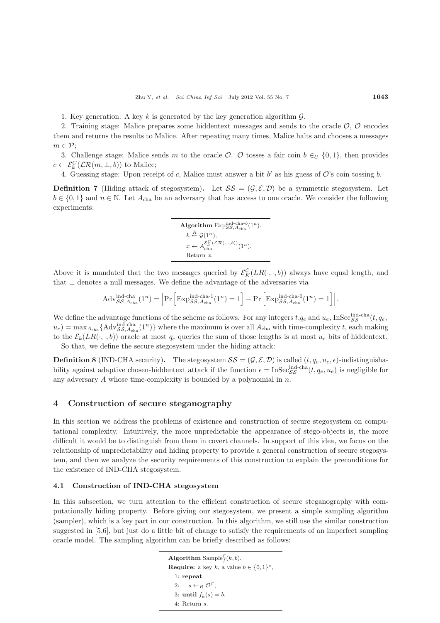1. Key generation: A key k is generated by the key generation algorithm  $\mathcal{G}$ .

2. Training stage: Malice prepares some hiddentext messages and sends to the oracle  $\mathcal{O}, \mathcal{O}$  encodes them and returns the results to Malice. After repeating many times, Malice halts and chooses a messages  $m \in \mathcal{P}$ ;

3. Challenge stage: Malice sends m to the oracle  $\mathcal{O}$ .  $\mathcal{O}$  tosses a fair coin  $b \in U$   $\{0,1\}$ , then provides  $c \leftarrow \mathcal{E}_k^C(\mathcal{LR}(m, \perp, b))$  to Malice;

4. Guessing stage: Upon receipt of c, Malice must answer a bit b' as his guess of  $\mathcal{O}$ 's coin tossing b.

**Definition 7** (Hiding attack of stegosystem). Let  $SS = (G, \mathcal{E}, \mathcal{D})$  be a symmetric stegosystem. Let  $b \in \{0,1\}$  and  $n \in \mathbb{N}$ . Let  $A_{\text{cha}}$  be an adversary that has access to one oracle. We consider the following experiments:

> Algorithm  $Exp_{SS,A_{\text{cha}}}^{\text{ind-cha-}b}(1^n)$ .  $k \stackrel{R}{\leftarrow} \mathcal{G}(1^n),$  $x \leftarrow A_{\text{cha}}^{\mathcal{E}_{k}^{C}(\mathcal{LR}(\cdot,\cdot,b))}(1^{n}).$ Return *x*.

Above it is mandated that the two messages queried by  $\mathcal{E}_K^{\mathcal{C}}(LR(\cdot,\cdot,b))$  always have equal length, and that I denotes a pull messages. We define the advantage of the advances via that  $\perp$  denotes a null messages. We define the advantage of the adversaries via

$$
Adv_{\mathcal{SS},A_{\text{cha}}}(1^n) = \left| Pr \left[ Exp_{\mathcal{SS},A_{\text{cha}}}(1^n) = 1 \right] - Pr \left[ Exp_{\mathcal{SS},A_{\text{cha}}}(1^n) = 1 \right] \right|.
$$

We define the advantage functions of the scheme as follows. For any integers  $t, q_e$  and  $u_e$ , InSec $_{\text{ssch}}^{\text{ind-cha}}(t, q_e)$  $u_e$ ) = max<sub>*A*cha</sub> {Adv<sup>ind-cha</sup><sub>(2</sub>*n*)} where the maximum is over all  $A_{\text{cha}}$  with time-complexity t, each making to the  $\mathcal{E}_k(LR(\cdot,\cdot,b))$  oracle at most  $q_e$  queries the sum of those lengths is at most  $u_e$  bits of hiddentext.

So that, we define the secure stegosystem under the hiding attack:

**Definition 8** (IND-CHA security). The stegosystem  $SS = (\mathcal{G}, \mathcal{E}, \mathcal{D})$  is called  $(t, q_e, u_e, \epsilon)$ -indistinguishability against adaptive chosen-hiddentext attack if the function  $\epsilon = \text{InSecS}_{SS}^{\text{ind-cha}}(t, q_e, u_e)$  is negligible for any adversary  $A$  whose time-complexity is bounded by a polynomial in  $n$ .

# **4 Construction of secure steganography**

In this section we address the problems of existence and construction of secure stegosystem on computational complexity. Intuitively, the more unpredictable the appearance of stego-objects is, the more difficult it would be to distinguish from them in covert channels. In support of this idea, we focus on the relationship of unpredictability and hiding property to provide a general construction of secure stegosystem, and then we analyze the security requirements of this construction to explain the preconditions for the existence of IND-CHA stegosystem.

### **4.1 Construction of IND-CHA stegosystem**

In this subsection, we turn attention to the efficient construction of secure steganography with computationally hiding property. Before giving our stegosystem, we present a simple sampling algorithm (sampler), which is a key part in our construction. In this algorithm, we still use the similar construction suggested in [5,6], but just do a little bit of change to satisfy the requirements of an imperfect sampling oracle model. The sampling algorithm can be briefly described as follows:

> **Algorithm** Sample $_f^C(k, b)$ . **Require:** a key *k*, a value  $b \in \{0, 1\}^e$ , 1: **repeat** 2:  $s \leftarrow_R \mathcal{O}^{\mathcal{C}},$ 3: **until**  $f_k(s) = b$ . 4: Return *s*.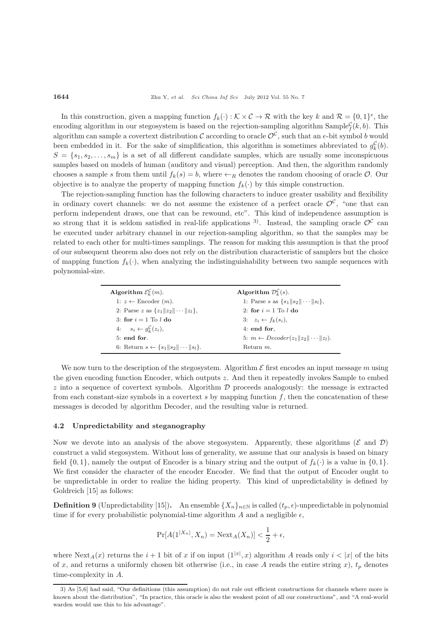In this construction, given a mapping function  $f_k(\cdot): \mathcal{K} \times \mathcal{C} \to \mathcal{R}$  with the key k and  $\mathcal{R} = \{0,1\}^e$ , the encoding algorithm in our stegosystem is based on the rejection-sampling algorithm Sample<sup>C</sup> $f(k, b)$ . This algorithm can sample a covertext distribution C according to oracle  $\mathcal{O}^c$ , such that an e-bit symbol b would been embedded in it. For the sake of simplification, this algorithm is sometimes abbreviated to  $g_k^c(b)$ .  $S = \{s_1, s_2, \ldots, s_m\}$  is a set of all different candidate samples, which are usually some inconspicuous samples based on models of human (auditory and visual) perception. And then, the algorithm randomly chooses a sample s from them until  $f_k(s) = b$ , where  $\leftarrow_R$  denotes the random choosing of oracle  $\mathcal{O}$ . Our objective is to analyze the property of mapping function  $f_k(\cdot)$  by this simple construction.

The rejection-sampling function has the following characters to induce greater usability and flexibility in ordinary covert channels: we do not assume the existence of a perfect oracle  $\mathcal{O}^c$ , "one that can perform independent draws, one that can be rewound, etc". This kind of independence assumption is so strong that it is seldom satisfied in real-life applications <sup>3</sup>. Instead, the sampling oracle  $\mathcal{O}^{\mathcal{C}}$  can be executed under arbitrary channel in our rejection-sampling algorithm, so that the samples may be related to each other for multi-times samplings. The reason for making this assumption is that the proof of our subsequent theorem also does not rely on the distribution characteristic of samplers but the choice of mapping function  $f_k(.)$ , when analyzing the indistinguishability between two sample sequences with polynomial-size.

| Algorithm $\mathcal{E}_{k}^{\mathcal{C}}(m)$ .         | Algorithm $\mathcal{D}_{k}^{\mathcal{C}}(s)$ .                 |
|--------------------------------------------------------|----------------------------------------------------------------|
| 1: $z \leftarrow$ Encoder $(m)$ .                      | 1: Parse s as $\{s_1 \ s_2\  \cdots \ s_l\},\$                 |
| 2: Parse z as $\{z_1 \ z_2\  \cdots \ z_l\},\$         | 2: for $i = 1$ To l do                                         |
| 3: for $i = 1$ To l do                                 | 3: $z_i \leftarrow f_k(s_i)$ ,                                 |
| 4: $s_i \leftarrow g_k^{\mathcal{C}}(z_i),$            | $4:$ end for,                                                  |
| $5:$ end for.                                          | 5: $m \leftarrow \text{Decoder}(z_1    z_2    \cdots    z_l).$ |
| 6: Return $s \leftarrow \{s_1 \ s_2\  \cdots \ s_l\}.$ | Return $m$ .                                                   |

We now turn to the description of the stegosystem. Algorithm  $\mathcal E$  first encodes an input message m using the given encoding function Encoder, which outputs z. And then it repeatedly invokes Sample to embed  $z$  into a sequence of covertext symbols. Algorithm  $\mathcal D$  proceeds analogously: the message is extracted from each constant-size symbols in a covertext  $s$  by mapping function  $f$ , then the concatenation of these messages is decoded by algorithm Decoder, and the resulting value is returned.

### **4.2 Unpredictability and steganography**

Now we devote into an analysis of the above stegosystem. Apparently, these algorithms  $(\mathcal{E} \text{ and } \mathcal{D})$ construct a valid stegosystem. Without loss of generality, we assume that our analysis is based on binary field  $\{0, 1\}$ , namely the output of Encoder is a binary string and the output of  $f_k(\cdot)$  is a value in  $\{0, 1\}$ . We first consider the character of the encoder Encoder. We find that the output of Encoder ought to be unpredictable in order to realize the hiding property. This kind of unpredictability is defined by Goldreich [15] as follows:

**Definition 9** (Unpredictability [15]). An ensemble  $\{X_n\}_{n\in\mathbb{N}}$  is called  $(t_p, \epsilon)$ -unpredictable in polynomial time if for every probabilistic polynomial-time algorithm A and a negligible  $\epsilon$ .

$$
\Pr[A(1^{|X_n|}, X_n) = \text{Next}_A(X_n)] < \frac{1}{2} + \epsilon,
$$

where  $\text{Next}_A(x)$  returns the  $i + 1$  bit of x if on input  $(1^{|x|}, x)$  algorithm A reads only  $i < |x|$  of the bits<br>of x, and returns a uniformly chosen bit otherwise (i.e., in asse A reads the orting string x), t denotes of x, and returns a uniformly chosen bit otherwise (i.e., in case A reads the entire string x),  $t_p$  denotes time-complexity in A.

<sup>3)</sup> As [5,6] had said, "Our definitions (this assumption) do not rule out efficient constructions for channels where more is known about the distribution", "In practice, this oracle is also the weakest point of all our constructions", and "A real-world warden would use this to his advantage".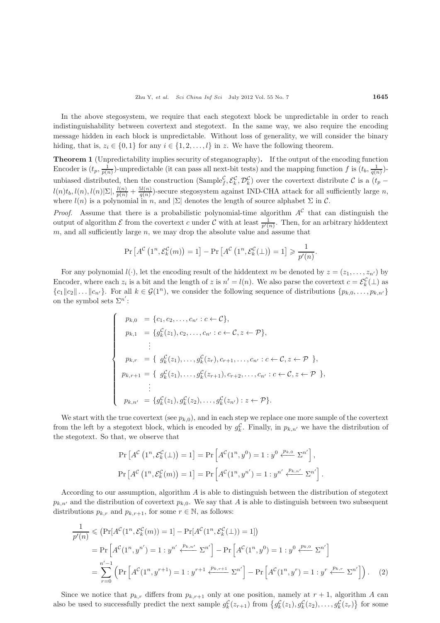In the above stegosystem, we require that each stegotext block be unpredictable in order to reach indistinguishability between covertext and stegotext. In the same way, we also require the encoding message hidden in each block is unpredictable. Without loss of generality, we will consider the binary hiding, that is,  $z_i \in \{0,1\}$  for any  $i \in \{1,2,\ldots,l\}$  in z. We have the following theorem.

**Theorem 1** (Unpredictability implies security of steganography)**.** If the output of the encoding function Encoder is  $(t_p, \frac{1}{p(n)})$ -unpredictable (it can pass all next-bit tests) and the mapping function f is  $(t_b, \frac{1}{q(n)})$ unbiased distributed, then the construction  $(\text{Sample}_f^c, \mathcal{E}_k^c, \mathcal{D}_k^c)$  over the covertext distribute C is a  $(t_p -$ <br>  $\mathcal{L}_{\text{C}}(k, t) = \mathcal{L}_{\text{C}}(k, t)$  $l(n)t_b, l(n), l(n)|\Sigma|, \frac{l(n)}{q(n)} + \frac{5l(n)}{q(n)}$ -secure stegosystem against IND-CHA attack for all sufficiently large n,<br>where  $l(n)$  is a polynomial in  $n$ , and  $|\Sigma|$  denotes the leasth of source alphabet  $\Sigma$  in  $\mathcal{C}$ where  $l(n)$  is a polynomial in n, and  $|\Sigma|$  denotes the length of source alphabet  $\Sigma$  in  $\mathcal{C}$ .

*Proof.* Assume that there is a probabilistic polynomial-time algorithm  $A^{\mathcal{C}}$  that can distinguish the output of algorithm  $\mathcal E$  from the covertext c under  $\mathcal C$  with at least  $\frac{1}{p'(n)}$ . Then, for an arbitrary hiddentext  $m$ , and all sufficiently large  $n$ , we may drop the absolute value and assume that

$$
\Pr\left[A^{\mathcal{C}}\left(1^{n}, \mathcal{E}_{k}^{\mathcal{C}}(m)\right)=1\right]-\Pr\left[A^{\mathcal{C}}\left(1^{n}, \mathcal{E}_{k}^{\mathcal{C}}(\bot)\right)=1\right]\geqslant \frac{1}{p'(n)}.
$$

For any polynomial  $l(\cdot)$ , let the encoding result of the hiddentext m be denoted by  $z = (z_1, \ldots, z_n)$  by second method is a bit and the length of  $z$  is  $n' = l(n)$ . We also pare the covertext  $z = \mathcal{E}(1)$  as Encoder, where each  $z_i$  is a bit and the length of  $z$  is  $n' = l(n)$ . We also parse the covertext  $c = \mathcal{E}_k^c(\perp)$  as  ${c_1||c_2||...||c_{n'}}$ . For all  $k \in \mathcal{G}(1^n)$ , we consider the following sequence of distributions  ${p_{k,0},...,p_{k,n'}}$ on the symbol sets  $\Sigma^{n'}$ :

$$
\begin{cases}\n p_{k,0} = \{c_1, c_2, \dots, c_{n'} : c \leftarrow C\}, \\
p_{k,1} = \{g_k^{\mathcal{C}}(z_1), c_2, \dots, c_{n'} : c \leftarrow \mathcal{C}, z \leftarrow \mathcal{P}\}, \\
& \vdots \\
p_{k,r} = \{g_k^{\mathcal{C}}(z_1), \dots, g_k^{\mathcal{C}}(z_r), c_{r+1}, \dots, c_{n'} : c \leftarrow \mathcal{C}, z \leftarrow \mathcal{P}\}, \\
p_{k,r+1} = \{g_k^{\mathcal{C}}(z_1), \dots, g_k^{\mathcal{C}}(z_{r+1}), c_{r+2}, \dots, c_{n'} : c \leftarrow \mathcal{C}, z \leftarrow \mathcal{P}\}, \\
& \vdots \\
p_{k,n'} = \{g_k^{\mathcal{C}}(z_1), g_k^{\mathcal{C}}(z_2), \dots, g_k^{\mathcal{C}}(z_{n'}) : z \leftarrow \mathcal{P}\}.\n\end{cases}
$$

We start with the true covertext (see  $p_{k,0}$ ), and in each step we replace one more sample of the covertext from the left by a stegotext block, which is encoded by  $g_k^{\mathcal{C}}$ . Finally, in  $p_{k,n'}$  we have the distribution of the stegotext. So that, we observe that

$$
\Pr\left[A^{\mathcal{C}}\left(1^{n}, \mathcal{E}_{k}^{\mathcal{C}}(\bot)\right) = 1\right] = \Pr\left[A^{\mathcal{C}}(1^{n}, y^{0}) = 1 : y^{0} \xleftarrow{p_{k,0}} \Sigma^{n'}\right],
$$
\n
$$
\Pr\left[A^{\mathcal{C}}\left(1^{n}, \mathcal{E}_{k}^{\mathcal{C}}(m)\right) = 1\right] = \Pr\left[A^{\mathcal{C}}(1^{n}, y^{n'}) = 1 : y^{n'} \xleftarrow{p_{k,n'}} \Sigma^{n'}\right].
$$

According to our assumption, algorithm  $A$  is able to distinguish between the distribution of stegotext  $p_{k,n'}$  and the distribution of covertext  $p_{k,0}$ . We say that A is able to distinguish between two subsequent distributions  $x_{k,n'}$  for some  $x \in \mathbb{N}$  as follows: distributions  $p_{k,r}$  and  $p_{k,r+1}$ , for some  $r \in \mathbb{N}$ , as follows:

$$
\frac{1}{p'(n)} \leq \left( \Pr[A^{\mathcal{C}}(1^n, \mathcal{E}_k^{\mathcal{C}}(m)) = 1] - \Pr[A^{\mathcal{C}}(1^n, \mathcal{E}_k^{\mathcal{C}}(\bot)) = 1] \right)
$$
\n
$$
= \Pr\left[ A^{\mathcal{C}}(1^n, y^{n'}) = 1 : y^{n'} \xleftarrow{p_{k,n'}} \Sigma^{n'} \right] - \Pr\left[ A^{\mathcal{C}}(1^n, y^0) = 1 : y^0 \xleftarrow{p_{k,0}} \Sigma^{n'} \right]
$$
\n
$$
= \sum_{r=0}^{n'-1} \left( \Pr\left[ A^{\mathcal{C}}(1^n, y^{r+1}) = 1 : y^{r+1} \xleftarrow{p_{k,r+1}} \Sigma^{n'} \right] - \Pr\left[ A^{\mathcal{C}}(1^n, y^r) = 1 : y^r \xleftarrow{p_{k,r}} \Sigma^{n'} \right] \right). \tag{2}
$$

Since we notice that  $p_{k,r}$  differs from  $p_{k,r+1}$  only at one position, namely at  $r+1$ , algorithm A can also be used to successfully predict the next sample  $g_k^C(z_{r+1})$  from  $\{g_k^C(z_1), g_k^C(z_2), \ldots, g_k^C(z_r)\}$  for some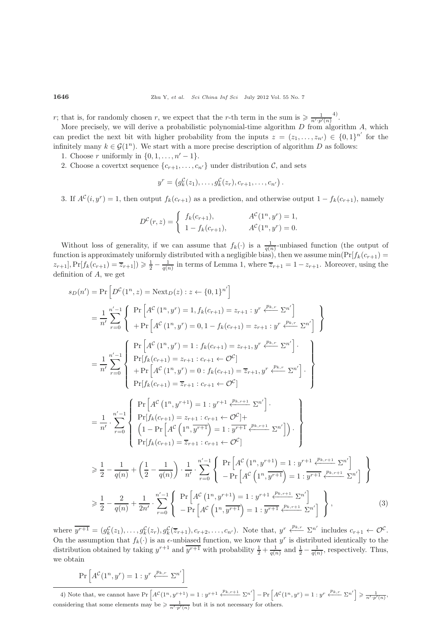r; that is, for randomly chosen r, we expect that the r-th term in the sum is  $\geq \frac{1}{n'\cdot p'(n)}$ .<br>More processly, we will derive a probabilistic polynomial time algorithm D from algorithm

More precisely, we will derive a probabilistic polynomial-time algorithm D from algorithm A, which<br>a prodict the port bit with higher probability from the inputs  $z = (z - z_0) \in [0, 1]^{n'}$  for the can predict the next bit with higher probability from the inputs  $z = (z_1, \ldots, z_n) \in \{0, 1\}^{n'}$  for the infinitely many  $k \in \mathcal{C}(1^n)$ . We start with a more process description of algorithm  $D$  as follows: infinitely many  $k \in \mathcal{G}(1^n)$ . We start with a more precise description of algorithm D as follows:

- 1. Choose r uniformly in  $\{0, 1, \ldots, n' 1\}$ .
- 2. Choose a covertxt sequence  $\{c_{r+1},...,c_{n'}\}$  under distribution  $\mathcal{C}$ , and sets

$$
y^r = (g_k^{\mathcal{C}}(z_1), \ldots, g_k^{\mathcal{C}}(z_r), c_{r+1}, \ldots, c_{n'})
$$

3. If  $A^{c}(i, y^{r}) = 1$ , then output  $f_{k}(c_{r+1})$  as a prediction, and otherwise output  $1 - f_{k}(c_{r+1})$ , namely

$$
D^{c}(r, z) = \begin{cases} f_{k}(c_{r+1}), & A^{c}(1^{n}, y^{r}) = 1, \\ 1 - f_{k}(c_{r+1}), & A^{c}(1^{n}, y^{r}) = 0. \end{cases}
$$

Without loss of generality, if we can assume that  $f_k(.)$  is a  $\frac{1}{q(n)}$ -unbiased function (the output of output of particular integration is approximately uniformly distributed with a positivide high) then we assume  $\min(\text$ function is approximately uniformly distributed with a negligible bias), then we assume  $\min(\Pr[f_k(c_{r+1})]$  $z_{r+1}, \Pr[f_k(c_{r+1}) = \overline{z}_{r+1}]$   $\geq \frac{1}{2} - \frac{1}{q(n)}$  in terms of Lemma 1, where  $\overline{z}_{r+1} = 1 - z_{r+1}$ . Moreover, using the definition of A, we get

$$
s_D(n') = \Pr\left[D^{C}(1^{n}, z) = \text{Next}_{D}(z) : z \leftarrow \{0, 1\}^{n'}\right]
$$
\n
$$
= \frac{1}{n'} \sum_{r=0}^{n'-1} \left\{ \Pr\left[A^{C}(1^{n}, y^{r}) = 1, f_{k}(c_{r+1}) = z_{r+1} : y^{r} \xleftarrow{p_{k,r}} \Sigma^{n'}\right] \right\}
$$
\n
$$
= \frac{1}{n'} \sum_{r=0}^{n'-1} \left\{ \Pr\left[A^{C}(1^{n}, y^{r}) = 0, 1 - f_{k}(c_{r+1}) = z_{r+1} : y^{r} \xleftarrow{p_{k,r}} \Sigma^{n'}\right] \right\}
$$
\n
$$
= \frac{1}{n'} \sum_{r=0}^{n'-1} \left\{ \Pr\left[A^{C}(1^{n}, y^{r}) = 1 : f_{k}(c_{r+1}) = z_{r+1}, y^{r} \xleftarrow{p_{k,r}} \Sigma^{n'}\right] \right\}
$$
\n
$$
= \frac{1}{n'} \sum_{r=0}^{n'-1} \left\{ \Pr\left[A^{C}(1^{n}, y^{r}) = 0 : f_{k}(c_{r+1}) = \overline{z}_{r+1}, y^{r} \xleftarrow{p_{k,r}} \Sigma^{n'}\right] \right\}
$$
\n
$$
= \frac{1}{n'} \cdot \sum_{r=0}^{n'-1} \left\{ \Pr\left[A^{C}(1^{n}, y^{r+1}) = 1 : y^{r+1} \xleftarrow{p_{k,r+1}} \Sigma^{n'}\right] \right\}
$$
\n
$$
= \frac{1}{n'} \cdot \sum_{r=0}^{n'-1} \left\{ \Pr\left[A^{C}(1^{n}, y^{r+1}) = 1 : y^{r+1} \xleftarrow{p_{k,r+1}} \Sigma^{n'}\right] \right\}
$$
\n
$$
= \frac{1}{n'} \cdot \sum_{r=0}^{n'-1} \left\{ \Pr\left[A^{C}(1^{n}, y^{r+1}) = 1 : y^{r+1} \xleftarrow{p_{k,r+1}} \Sigma^{n'}\right] \right\}
$$
\n
$$
\geq \frac{1}{2} - \frac{1}{q(n)} + \left(\frac{1}{2} - \frac{1}{q(n)}\right) \cdot \frac{1}{n
$$

where  $y^{r+1} = (g_k^{\mathcal{C}}(z_1), \ldots, g_k^{\mathcal{C}}(z_r), g_k^{\mathcal{C}}(\overline{z}_{r+1}), c_{r+2}, \ldots, c_{n'})$ . Note that,  $y^r \stackrel{p_{k,r}}{\longleftarrow} \Sigma^{n'}$  includes  $c_{r+1} \leftarrow \mathcal{O}^{\mathcal{C}}$ . On the assumption that  $f_k(\cdot)$  is an  $\epsilon$ -unbiased function, we know that  $y^r$  is distributed identically to the distribution obtained by to line  $x^{r+1}$  and  $\overline{x^{r+1}}$  with probability  $\frac{1}{r} + \frac{1}{r}$  and  $\frac{1}{r} + \$ distribution obtained by taking  $y^{r+1}$  and  $\overline{y^{r+1}}$  with probability  $\frac{1}{2} + \frac{1}{q(n)}$  and  $\frac{1}{2} - \frac{1}{q(n)}$ , respectively. Thus, we obtain

$$
\Pr\left[A^{\mathcal{C}}(1^n, y^r) = 1 : y^r \xleftarrow{p_{k,r}} \Sigma^{n'}\right]
$$

4) Note that, we cannot have  $Pr\left[A^{\mathcal{C}}(1^n, y^{r+1}) = 1 : y^{r+1} \xleftarrow{p_{k,r+1}} \Sigma^{n'}\right] - Pr\left[A^{\mathcal{C}}(1^n, y^r) = 1 : y^r \xleftarrow{p_{k,r}} \Sigma^{n'}\right] \geq \frac{1}{n' \cdot p'(n)},$ considering that some elements may be  $\geq \frac{1}{n'\cdot p'(n)}$  but it is not necessary for others.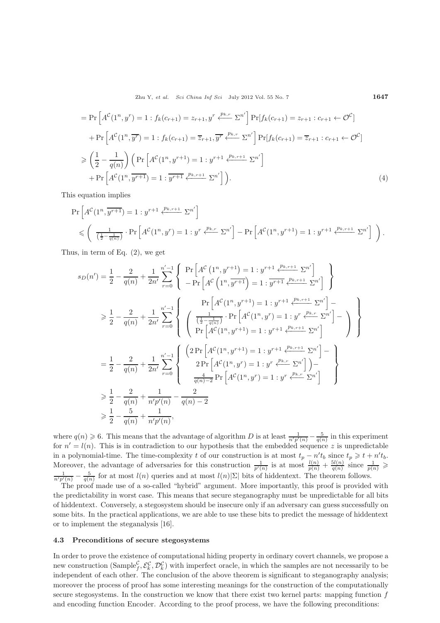Zhu Y, *et al. Sci China Inf Sci* July 2012 Vol. 55 No. 7 **1647**

$$
= \Pr\left[A^{C}(1^{n}, y^{r}) = 1 : f_{k}(c_{r+1}) = z_{r+1}, y^{r} \stackrel{p_{k,r}}{\longleftarrow} \Sigma^{n'}\right] \Pr[f_{k}(c_{r+1}) = z_{r+1} : c_{r+1} \leftarrow \mathcal{O}^{C}] + \Pr\left[A^{C}(1^{n}, \overline{y^{r}}) = 1 : f_{k}(c_{r+1}) = \overline{z}_{r+1}, \overline{y^{r}} \stackrel{p_{k,r}}{\longleftarrow} \Sigma^{n'}\right] \Pr[f_{k}(c_{r+1}) = \overline{z}_{r+1} : c_{r+1} \leftarrow \mathcal{O}^{C}] \geqslant \left(\frac{1}{2} - \frac{1}{q(n)}\right) \left(\Pr\left[A^{C}(1^{n}, y^{r+1}) = 1 : y^{r+1} \stackrel{p_{k,r+1}}{\longleftarrow} \Sigma^{n'}\right]\right. \right) + \Pr\left[A^{C}(1^{n}, \overline{y^{r+1}}) = 1 : \overline{y^{r+1}} \stackrel{p_{k,r+1}}{\longleftarrow} \Sigma^{n'}\right]\right).
$$
\n(4)

This equation implies

$$
\Pr\left[A^{\mathcal{C}}(1^{n}, \overline{y^{r+1}}) = 1 : y^{r+1} \xleftarrow{p_{k,r+1}} \Sigma^{n'}\right] \le \left(\frac{1}{\left(\frac{1}{2} - \frac{1}{q(n)}\right)} \cdot \Pr\left[A^{\mathcal{C}}(1^{n}, y^{r}) = 1 : y^{r} \xleftarrow{p_{k,r}} \Sigma^{n'}\right] - \Pr\left[A^{\mathcal{C}}(1^{n}, y^{r+1}) = 1 : y^{r+1} \xleftarrow{p_{k,r+1}} \Sigma^{n'}\right]\right).
$$

Thus, in term of Eq. (2), we get

$$
s_D(n') = \frac{1}{2} - \frac{2}{q(n)} + \frac{1}{2n'} \sum_{r=0}^{n'-1} \left\{ \Pr\left[A^{\mathcal{C}}(1^n, y^{r+1}) = 1 : y^{r+1} \frac{p_{k,r+1}}{p_{k,r+1}} \Sigma^{n'}\right] \right\}
$$
  
\n
$$
\geq \frac{1}{2} - \frac{2}{q(n)} + \frac{1}{2n'} \sum_{r=0}^{n'-1} \left\{ \Pr\left[A^{\mathcal{C}}(1^n, y^{r+1}) = 1 : y^{r+1} \frac{p_{k,r+1}}{p_{k,r+1}} \Sigma^{n'}\right] - \frac{1}{2n'} \sum_{r=0}^{n'-1} \left\{ \left(\frac{1}{\frac{1}{2} - \frac{1}{q(n)}} \cdot \Pr\left[A^{\mathcal{C}}(1^n, y^r) = 1 : y^{r+1} \frac{p_{k,r+1}}{p_{k,r+1}} \Sigma^{n'}\right] - \frac{1}{2n'} \sum_{r=0}^{n'-1} \left\{ \left(\frac{1}{2} - \frac{1}{q(n)} \cdot \Pr\left[A^{\mathcal{C}}(1^n, y^{r+1}) = 1 : y^{r+1} \frac{p_{k,r+1}}{p_{k,r+1}} \Sigma^{n'}\right] - \frac{1}{2n'} \sum_{r=0}^{n'-1} \left\{ \frac{2 \Pr\left[A^{\mathcal{C}}(1^n, y^{r+1}) = 1 : y^{r+1} \frac{p_{k,r+1}}{p_{k,r+1}} \Sigma^{n'}\right] - \frac{1}{2} \Pr\left[A^{\mathcal{C}}(1^n, y^r) = 1 : y^r \frac{p_{k,r}}{p_{k,r}} \Sigma^{n'}\right] - \frac{1}{2n'} \sum_{r=0}^{n'} \frac{1}{2} - \frac{2}{q(n)} + \frac{1}{n'p'(n)} - \frac{2}{q(n) - 2}
$$
  
\n
$$
\geq \frac{1}{2} - \frac{5}{q(n)} + \frac{1}{n'p'(n)},
$$

where  $q(n) \ge 6$ . This means that the advantage of algorithm D is at least  $\frac{1}{n'p'(n)} - \frac{5}{q(n)}$  in this experiment<br>for  $n' = l(n)$ . This is in controllation to our hypothesis that the embedded sequence  $\zeta$  is unpredictabl for  $n' = l(n)$ . This is in contradiction to our hypothesis that the embedded sequence z is unpredictable<br>in a polynomial time. The time complexity t of our construction is at most  $t = x'^t$ , since  $t \geq t + x'^t$ . in a polynomial-time. The time-complexity t of our construction is at most  $t_p - n't_b$  since  $t_p \ge t + n't_b$ .<br>Moreover, the advantage of adversaries for this construction  $\frac{1}{p'(n)}$  is at most  $\frac{l(n)}{p(n)} + \frac{5l(n)}{q(n)}$  since  $\frac{$ 

the predictability in worst case. This means that secure steganography must be unpredictable for all bits of hiddentext. Conversely, a stegosystem should be insecure only if an adversary can guess successfully on some bits. In the practical applications, we are able to use these bits to predict the message of hiddentext or to implement the steganalysis [16].

#### **4.3 Preconditions of secure stegosystems**

In order to prove the existence of computational hiding property in ordinary covert channels, we propose a new construction (Sample<sup>C</sup>,  $\mathcal{E}_k^C$ ,  $\mathcal{D}_k^C$ ) with imperfect oracle, in which the samples are not necessarily to be<br>independent of each other. The senglusian of the share theorem is significant to step permanentu independent of each other. The conclusion of the above theorem is significant to steganography analysis; moreover the process of proof has some interesting meanings for the construction of the computationally secure stegosystems. In the construction we know that there exist two kernel parts: mapping function  $f$ and encoding function Encoder. According to the proof process, we have the following preconditions: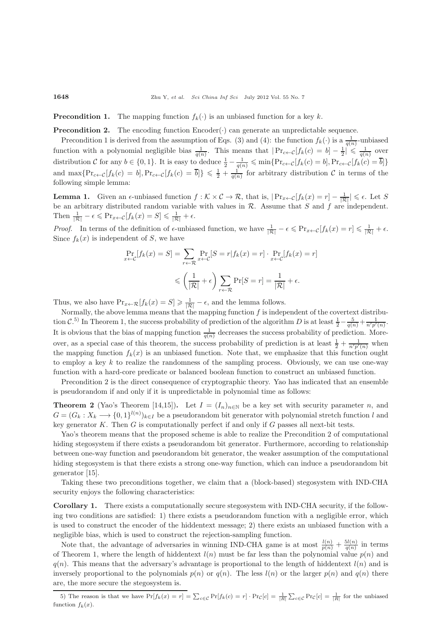#### **Precondition 1.** The mapping function  $f_k(\cdot)$  is an unbiased function for a key k.

**Precondition 2.** The encoding function  $Encoder(\cdot)$  can generate an unpredictable sequence.

Precondition 1 is derived from the assumption of Eqs. (3) and (4): the function  $f_k(\cdot)$  is a  $\frac{1}{q(n)}$ -unbiased function with a polynomial negligible bias  $\frac{1}{q(n)}$ . This means that  $|\Pr_{c \leftarrow C}[f_k(c) = b] - \frac{1}{2}| \leq \frac{1}{q(n)}$  over distribution C for any  $b \in \{0,1\}$ . It is easy to deduce  $\frac{1}{2} - \frac{1}{q(n)} \leqslant \min\{\Pr_{c \leftarrow C}[f_k(c) = b], \Pr_{c \leftarrow C}[f_k(c) = \overline{b}]\}$ and  $\max\{\Pr_{c\leftarrow C}[f_k(c) = b], \Pr_{c\leftarrow C}[f_k(c) = \overline{b}]\}\leq \frac{1}{2} + \frac{1}{q(n)}$  for arbitrary distribution C in terms of the following simple lemma:

**Lemma 1.** Given an  $\epsilon$ -unbiased function  $f : \mathcal{K} \times \mathcal{C} \to \mathcal{R}$ , that is,  $|{\Pr}_{x \leftarrow \mathcal{C}}[f_k(x) = r] - \frac{1}{|\mathcal{R}|} \leq \epsilon$ . Let S be an arbitrary distributed random variable with values in  $R$ . Assume that S and f are independent. Then  $\frac{1}{|\mathcal{R}|} - \epsilon \leqslant \Pr_{x \leftarrow C}[f_k(x) = S] \leqslant \frac{1}{|\mathcal{R}|} + \epsilon.$ 

Proof. In terms of the definition of  $\epsilon$ -unbiased function, we have  $\frac{1}{|\mathcal{R}|} - \epsilon \leq \Pr_{x \leftarrow \mathcal{C}}[f_k(x) = r] \leq \frac{1}{|\mathcal{R}|} + \epsilon$ .<br>Since  $f_r(x)$  is independent of S, we have Since  $f_k(x)$  is independent of S, we have

$$
\Pr_{x \leftarrow C}[f_k(x) = S] = \sum_{r \leftarrow \mathcal{R}} \Pr_{x \leftarrow C}[S = r | f_k(x) = r] \cdot \Pr_{x \leftarrow C}[f_k(x) = r]
$$

$$
\leqslant \left(\frac{1}{|\mathcal{R}|} + \epsilon\right) \sum_{r \leftarrow \mathcal{R}} \Pr[S = r] = \frac{1}{|\mathcal{R}|} + \epsilon.
$$

Thus, we also have  $Pr_{x \leftarrow \mathcal{R}}[f_k(x) = S] \ge \frac{1}{|\mathcal{R}|} - \epsilon$ , and the lemma follows.

Normally, the above lemma means that the mapping function  $f$  is independent of the covertext distribution C.<sup>5)</sup> In Theorem 1, the success probability of prediction of the algorithm D is at least  $\frac{1}{2} - \frac{5}{q(n)} + \frac{1}{n'p'(n)}$ . It is obvious that the bias of mapping function  $\frac{1}{q(n)}$  decreases the success probability of prediction. Moreover, as a special case of this theorem, the success probability of prediction is at least  $\frac{1}{2} + \frac{1}{n'p'(n)}$  when the mapping function  $f_k(x)$  is an unbiased function. Note that, we emphasize that this function ought to employ a key  $k$  to realize the randomness of the sampling process. Obviously, we can use one-way function with a hard-core predicate or balanced boolean function to construct an unbiased function.

Precondition 2 is the direct consequence of cryptographic theory. Yao has indicated that an ensemble is pseudorandom if and only if it is unpredictable in polynomial time as follows:

**Theorem 2** (Yao's Theorem [14,15]). Let  $I = (I_n)_{n \in \mathbb{N}}$  be a key set with security parameter n, and  $G = (G_k : X_k \longrightarrow \{0,1\}^{l(n)})_{k \in I}$  be a pseudorandom bit generator with polynomial stretch function l and low generator K. Then  $G$  is computationally perfect if and only if  $G$  passes all pert bit tests key generator  $K$ . Then  $G$  is computationally perfect if and only if  $G$  passes all next-bit tests.

Yao's theorem means that the proposed scheme is able to realize the Precondition 2 of computational hiding stegosystem if there exists a pseudorandom bit generator. Furthermore, according to relationship between one-way function and pseudorandom bit generator, the weaker assumption of the computational hiding stegosystem is that there exists a strong one-way function, which can induce a pseudorandom bit generator [15].

Taking these two preconditions together, we claim that a (block-based) stegosystem with IND-CHA security enjoys the following characteristics:

**Corollary 1.** There exists a computationally secure stegosystem with IND-CHA security, if the following two conditions are satisfied: 1) there exists a pseudorandom function with a negligible error, which is used to construct the encoder of the hiddentext message; 2) there exists an unbiased function with a negligible bias, which is used to construct the rejection-sampling function.

Note that, the advantage of adversaries in winning IND-CHA game is at most  $\frac{l(n)}{p(n)} + \frac{5l(n)}{q(n)}$  in terms of Theorem 1, where the length of hiddentext  $l(n)$  must be far less than the polynomial value  $p(n)$  and  $q(n)$ . This means that the adversary's advantage is proportional to the length of hiddentext  $l(n)$  and is inversely proportional to the polynomials  $p(n)$  or  $q(n)$ . The less  $l(n)$  or the larger  $p(n)$  and  $q(n)$  there are, the more secure the stegosystem is.

5) The reason is that we have  $Pr[f_k(x) = r] = \sum_{c \in \mathcal{C}} Pr[f_k(c) = r] \cdot Pr_{\mathcal{C}}[c] = \frac{1}{|R|} \sum_{c \in \mathcal{C}} Pr_{\mathcal{C}}[c] = \frac{1}{|R|}$  for the unbiased function  $f_k(x)$ .